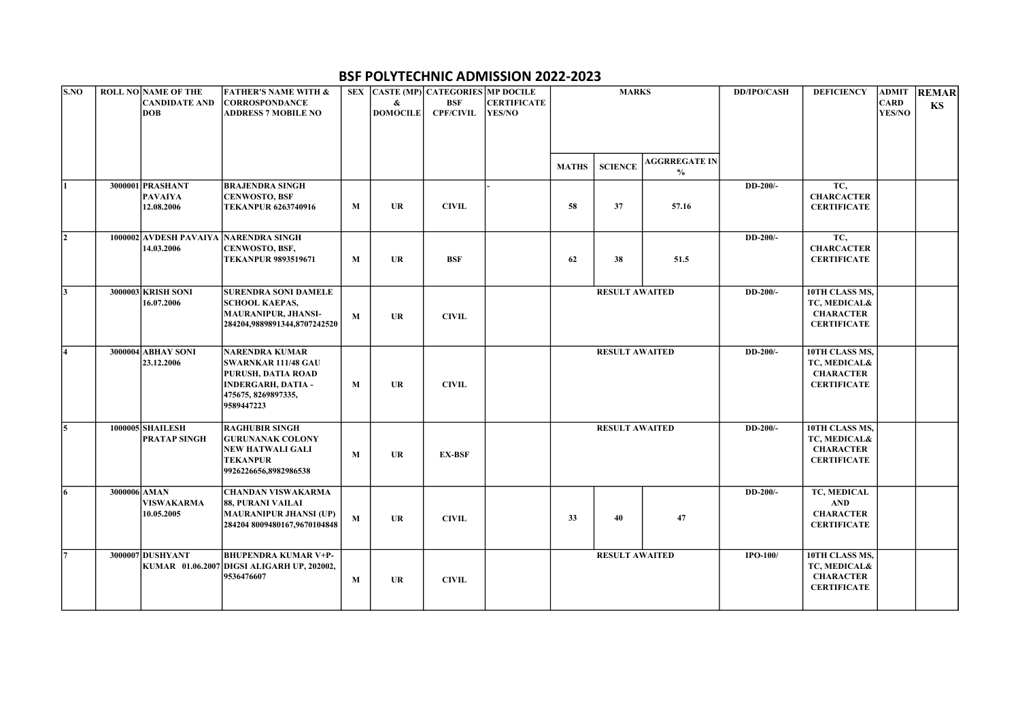## BSF POLYTECHNIC ADMISSION 2022-2023

| <b>S.NO</b> | <b>ROLL NO NAME OF THE</b>            | <b>FATHER'S NAME WITH &amp;</b>            |   |                 | SEX CASTE (MP) CATEGORIES MP DOCILE |                    |              | <b>MARKS</b>          |                      | <b>DD/IPO/CASH</b> | <b>DEFICIENCY</b>  |             | <b>ADMIT REMAR</b> |
|-------------|---------------------------------------|--------------------------------------------|---|-----------------|-------------------------------------|--------------------|--------------|-----------------------|----------------------|--------------------|--------------------|-------------|--------------------|
|             | <b>CANDIDATE AND</b>                  | <b>CORROSPONDANCE</b>                      |   | &               | <b>BSF</b>                          | <b>CERTIFICATE</b> |              |                       |                      |                    |                    | <b>CARD</b> | KS                 |
|             | <b>DOB</b>                            | <b>ADDRESS 7 MOBILE NO</b>                 |   | <b>DOMOCILE</b> | <b>CPF/CIVIL</b>                    | YES/NO             |              |                       |                      |                    |                    | YES/NO      |                    |
|             |                                       |                                            |   |                 |                                     |                    |              |                       |                      |                    |                    |             |                    |
|             |                                       |                                            |   |                 |                                     |                    |              |                       |                      |                    |                    |             |                    |
|             |                                       |                                            |   |                 |                                     |                    |              |                       |                      |                    |                    |             |                    |
|             |                                       |                                            |   |                 |                                     |                    | <b>MATHS</b> | <b>SCIENCE</b>        | <b>AGGRREGATE IN</b> |                    |                    |             |                    |
|             |                                       |                                            |   |                 |                                     |                    |              |                       | $\frac{0}{0}$        |                    |                    |             |                    |
| I1          | 3000001 PRASHANT                      | <b>BRAJENDRA SINGH</b>                     |   |                 |                                     |                    |              |                       |                      | DD-200/-           | TC,                |             |                    |
|             | <b>PAVAIYA</b>                        | <b>CENWOSTO, BSF</b>                       | M | <b>UR</b>       | <b>CIVIL</b>                        |                    | 58           | 37                    |                      |                    | <b>CHARCACTER</b>  |             |                    |
|             | 12.08.2006                            | <b>TEKANPUR 6263740916</b>                 |   |                 |                                     |                    |              |                       | 57.16                |                    | <b>CERTIFICATE</b> |             |                    |
|             |                                       |                                            |   |                 |                                     |                    |              |                       |                      |                    |                    |             |                    |
| I2          | 1000002 AVDESH PAVAIYA NARENDRA SINGH |                                            |   |                 |                                     |                    |              |                       |                      | DD-200/-           | TC,                |             |                    |
|             | 14.03.2006                            | CENWOSTO, BSF,                             |   |                 |                                     |                    |              |                       |                      |                    | <b>CHARCACTER</b>  |             |                    |
|             |                                       | <b>TEKANPUR 9893519671</b>                 | M | <b>UR</b>       | <b>BSF</b>                          |                    | 62           | 38                    | 51.5                 |                    | <b>CERTIFICATE</b> |             |                    |
|             |                                       |                                            |   |                 |                                     |                    |              |                       |                      |                    |                    |             |                    |
| 13          | 3000003 KRISH SONI                    | <b>SURENDRA SONI DAMELE</b>                |   |                 |                                     |                    |              | <b>RESULT AWAITED</b> |                      | DD-200/-           | 10TH CLASS MS,     |             |                    |
|             | 16.07.2006                            | <b>SCHOOL KAEPAS,</b>                      |   |                 |                                     |                    |              |                       |                      |                    | TC, MEDICAL&       |             |                    |
|             |                                       | MAURANIPUR, JHANSI-                        | M | <b>UR</b>       | <b>CIVIL</b>                        |                    |              |                       |                      |                    | <b>CHARACTER</b>   |             |                    |
|             |                                       | 284204,9889891344,8707242520               |   |                 |                                     |                    |              |                       |                      |                    | <b>CERTIFICATE</b> |             |                    |
|             |                                       |                                            |   |                 |                                     |                    |              |                       |                      |                    |                    |             |                    |
| 4           | 3000004 ABHAY SONI                    | <b>NARENDRA KUMAR</b>                      |   |                 |                                     |                    |              | <b>RESULT AWAITED</b> |                      | DD-200/-           | 10TH CLASS MS,     |             |                    |
|             | 23.12.2006                            | SWARNKAR 111/48 GAU                        |   |                 |                                     |                    |              |                       |                      |                    | TC, MEDICAL&       |             |                    |
|             |                                       | PURUSH, DATIA ROAD                         |   |                 |                                     |                    |              |                       |                      |                    | <b>CHARACTER</b>   |             |                    |
|             |                                       | <b>INDERGARH, DATIA -</b>                  | M | <b>UR</b>       | <b>CIVIL</b>                        |                    |              |                       |                      |                    | <b>CERTIFICATE</b> |             |                    |
|             |                                       | 475675, 8269897335,                        |   |                 |                                     |                    |              |                       |                      |                    |                    |             |                    |
|             |                                       | 9589447223                                 |   |                 |                                     |                    |              |                       |                      |                    |                    |             |                    |
| 15          | 1000005 SHAILESH                      | <b>RAGHUBIR SINGH</b>                      |   |                 |                                     |                    |              | <b>RESULT AWAITED</b> |                      | DD-200/-           | 10TH CLASS MS,     |             |                    |
|             | <b>PRATAP SINGH</b>                   | <b>GURUNANAK COLONY</b>                    |   |                 | <b>EX-BSF</b>                       |                    |              |                       |                      |                    | TC, MEDICAL&       |             |                    |
|             |                                       | <b>NEW HATWALI GALI</b>                    | M | <b>UR</b>       |                                     |                    |              |                       |                      |                    | <b>CHARACTER</b>   |             |                    |
|             |                                       | TEKANPUR                                   |   |                 |                                     |                    |              |                       |                      |                    | <b>CERTIFICATE</b> |             |                    |
|             |                                       | 9926226656,8982986538                      |   |                 |                                     |                    |              |                       |                      |                    |                    |             |                    |
| 6           | 3000006 AMAN                          | <b>CHANDAN VISWAKARMA</b>                  |   |                 |                                     |                    |              |                       |                      | DD-200/-           | TC, MEDICAL        |             |                    |
|             | <b>VISWAKARMA</b>                     | 88, PURANI VAILAI                          |   |                 |                                     |                    |              |                       |                      |                    | AND                |             |                    |
|             | 10.05.2005                            | <b>MAURANIPUR JHANSI (UP)</b>              | M | <b>UR</b>       | <b>CIVIL</b>                        |                    | 33           | 40                    | 47                   |                    | <b>CHARACTER</b>   |             |                    |
|             |                                       | 284204 8009480167,9670104848               |   |                 |                                     |                    |              |                       |                      |                    | <b>CERTIFICATE</b> |             |                    |
|             |                                       |                                            |   |                 |                                     |                    |              |                       |                      |                    |                    |             |                    |
| 17          | 3000007 DUSHYANT                      | <b>BHUPENDRA KUMAR V+P-</b>                |   |                 |                                     |                    |              | <b>RESULT AWAITED</b> |                      | IPO-100/           | 10TH CLASS MS,     |             |                    |
|             |                                       | KUMAR 01.06.2007 DIGSI ALIGARH UP, 202002, |   |                 |                                     |                    |              |                       |                      |                    | TC, MEDICAL&       |             |                    |
|             |                                       | 9536476607                                 | M | <b>UR</b>       | <b>CIVIL</b>                        |                    |              |                       |                      |                    | <b>CHARACTER</b>   |             |                    |
|             |                                       |                                            |   |                 |                                     |                    |              |                       |                      |                    | <b>CERTIFICATE</b> |             |                    |
|             |                                       |                                            |   |                 |                                     |                    |              |                       |                      |                    |                    |             |                    |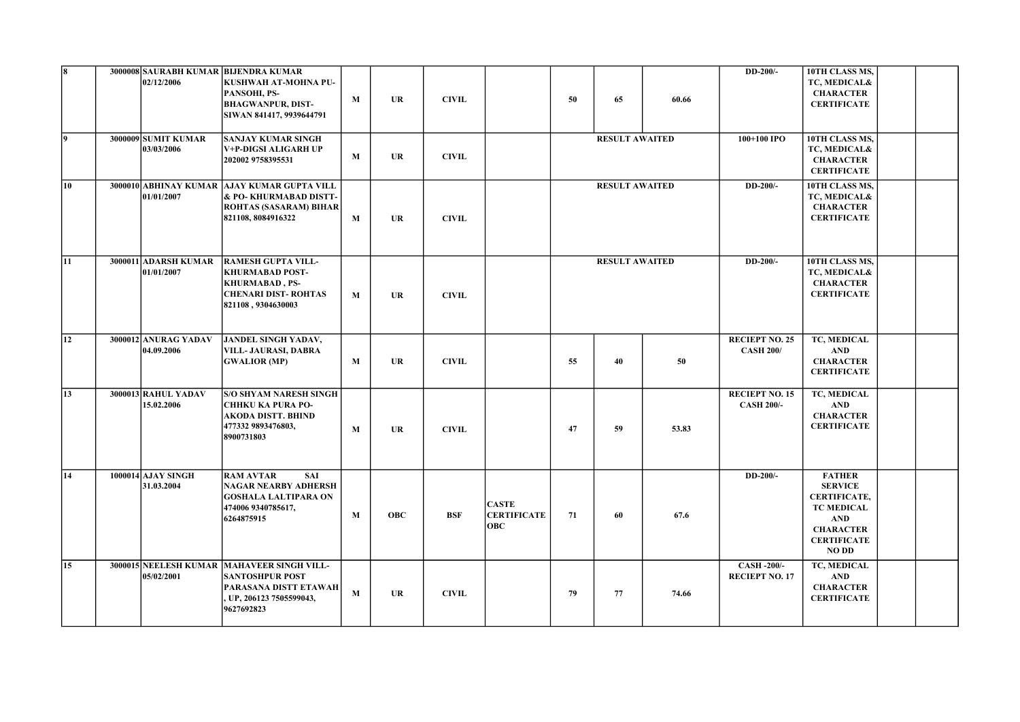| l8. | 02/12/2006                              | 3000008 SAURABH KUMAR BIJENDRA KUMAR<br>KUSHWAH AT-MOHNA PU-<br>PANSOHI, PS-<br><b>BHAGWANPUR, DIST-</b><br>SIWAN 841417, 9939644791    | M | UR         | <b>CIVIL</b> |                                                  | 50                    | 65                    | 60.66 | DD-200/-                                   | 10TH CLASS MS,<br>TC, MEDICAL&<br><b>CHARACTER</b><br><b>CERTIFICATE</b>                                                                            |  |
|-----|-----------------------------------------|-----------------------------------------------------------------------------------------------------------------------------------------|---|------------|--------------|--------------------------------------------------|-----------------------|-----------------------|-------|--------------------------------------------|-----------------------------------------------------------------------------------------------------------------------------------------------------|--|
| l9. | 3000009 SUMIT KUMAR<br>03/03/2006       | <b>SANJAY KUMAR SINGH</b><br>V+P-DIGSI ALIGARH UP<br>202002 9758395531                                                                  | M | <b>UR</b>  | <b>CIVIL</b> |                                                  | <b>RESULT AWAITED</b> |                       |       | 100+100 IPO                                | 10TH CLASS MS,<br>TC, MEDICAL&<br><b>CHARACTER</b><br><b>CERTIFICATE</b>                                                                            |  |
| 10  | 01/01/2007                              | 3000010 ABHINAY KUMAR AJAY KUMAR GUPTA VILL<br>& PO-KHURMABAD DISTT-<br><b>ROHTAS (SASARAM) BIHAR</b><br>821108, 8084916322             | M | <b>UR</b>  | <b>CIVIL</b> |                                                  |                       | <b>RESULT AWAITED</b> |       | DD-200/-                                   | 10TH CLASS MS,<br>TC, MEDICAL&<br><b>CHARACTER</b><br><b>CERTIFICATE</b>                                                                            |  |
| 11  | 3000011 ADARSH KUMAR<br>01/01/2007      | <b>RAMESH GUPTA VILL-</b><br><b>KHURMABAD POST-</b><br><b>KHURMABAD</b> , PS-<br><b>CHENARI DIST-ROHTAS</b><br>821108, 9304630003       | M | UR         | <b>CIVIL</b> |                                                  | <b>RESULT AWAITED</b> |                       |       | DD-200/-                                   | 10TH CLASS MS,<br>TC, MEDICAL&<br><b>CHARACTER</b><br><b>CERTIFICATE</b>                                                                            |  |
| 12  | 3000012 ANURAG YADAV<br>04.09.2006      | <b>JANDEL SINGH YADAV,</b><br>VILL- JAURASI, DABRA<br><b>GWALIOR (MP)</b>                                                               | M | <b>UR</b>  | <b>CIVIL</b> |                                                  | 55                    | 40                    | 50    | <b>RECIEPT NO. 25</b><br><b>CASH 200/</b>  | TC, MEDICAL<br><b>AND</b><br><b>CHARACTER</b><br><b>CERTIFICATE</b>                                                                                 |  |
| 13  | 3000013 RAHUL YADAV<br>15.02.2006       | <b>S/O SHYAM NARESH SINGH</b><br><b>CHHKU KA PURA PO-</b><br>AKODA DISTT. BHIND<br>477332 9893476803,<br>8900731803                     | M | <b>UR</b>  | <b>CIVIL</b> |                                                  | 47                    | 59                    | 53.83 | <b>RECIEPT NO. 15</b><br><b>CASH 200/-</b> | TC, MEDICAL<br><b>AND</b><br><b>CHARACTER</b><br><b>CERTIFICATE</b>                                                                                 |  |
| 14  | <b>1000014 AJAY SINGH</b><br>31.03.2004 | <b>SAI</b><br><b>RAM AVTAR</b><br>NAGAR NEARBY ADHERSH<br><b>GOSHALA LALTIPARA ON</b><br>474006 9340785617,<br>6264875915               | M | <b>OBC</b> | <b>BSF</b>   | <b>CASTE</b><br><b>CERTIFICATE</b><br><b>OBC</b> | 71                    | 60                    | 67.6  | DD-200/-                                   | <b>FATHER</b><br><b>SERVICE</b><br><b>CERTIFICATE,</b><br><b>TC MEDICAL</b><br><b>AND</b><br><b>CHARACTER</b><br><b>CERTIFICATE</b><br><b>NO DD</b> |  |
| 15  | 05/02/2001                              | 3000015 NEELESH KUMAR   MAHAVEER SINGH VILL-<br><b>SANTOSHPUR POST</b><br>PARASANA DISTT ETAWAH<br>UP, 206123 7505599043,<br>9627692823 | M | UR         | <b>CIVIL</b> |                                                  | 79                    | 77                    | 74.66 | <b>CASH-200/-</b><br><b>RECIEPT NO. 17</b> | TC, MEDICAL<br><b>AND</b><br><b>CHARACTER</b><br><b>CERTIFICATE</b>                                                                                 |  |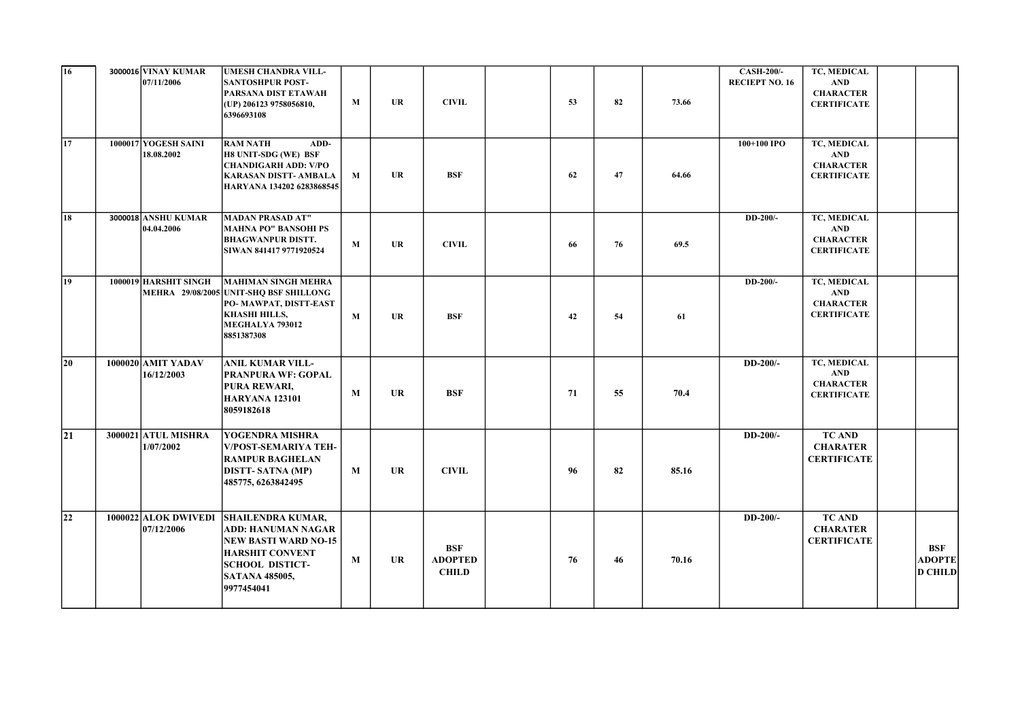| $\overline{16}$ | <b>3000016 VINAY KUMAR</b><br>07/11/2006 | <b>UMESH CHANDRA VILL-</b><br><b>SANTOSHPUR POST-</b><br>PARSANA DIST ETAWAH<br>(UP) 206123 9758056810,<br>6396693108                                                           | M | UR        | <b>CIVIL</b>                                 | 53 | 82 | 73.66 | <b>CASH-200/-</b><br><b>RECIEPT NO. 16</b> | TC, MEDICAL<br><b>AND</b><br><b>CHARACTER</b><br><b>CERTIFICATE</b> |                                        |
|-----------------|------------------------------------------|---------------------------------------------------------------------------------------------------------------------------------------------------------------------------------|---|-----------|----------------------------------------------|----|----|-------|--------------------------------------------|---------------------------------------------------------------------|----------------------------------------|
| 17              | 1000017 YOGESH SAINI<br>18.08.2002       | <b>RAM NATH</b><br>ADD-<br>H8 UNIT-SDG (WE) BSF<br><b>CHANDIGARH ADD: V/PO</b><br><b>KARASAN DISTT- AMBALA</b><br>HARYANA 134202 6283868545                                     | M | UR        | <b>BSF</b>                                   | 62 | 47 | 64.66 | 100+100 IPO                                | TC, MEDICAL<br><b>AND</b><br><b>CHARACTER</b><br><b>CERTIFICATE</b> |                                        |
| $\overline{18}$ | <b>3000018 ANSHU KUMAR</b><br>04.04.2006 | <b>MADAN PRASAD AT"</b><br><b>MAHNA PO" BANSOHI PS</b><br><b>BHAGWANPUR DISTT.</b><br>SIWAN 841417 9771920524                                                                   | M | <b>UR</b> | <b>CIVIL</b>                                 | 66 | 76 | 69.5  | DD-200/-                                   | TC, MEDICAL<br><b>AND</b><br><b>CHARACTER</b><br><b>CERTIFICATE</b> |                                        |
| $\overline{19}$ | 1000019 HARSHIT SINGH                    | <b>MAHIMAN SINGH MEHRA</b><br>MEHRA 29/08/2005 UNIT-SHQ BSF SHILLONG<br>PO-MAWPAT, DISTT-EAST<br><b>KHASHI HILLS,</b><br>MEGHALYA 793012<br>8851387308                          | M | UR        | <b>BSF</b>                                   | 42 | 54 | 61    | DD-200/-                                   | TC, MEDICAL<br><b>AND</b><br><b>CHARACTER</b><br><b>CERTIFICATE</b> |                                        |
| $ 20\rangle$    | 1000020 AMIT YADAV<br>16/12/2003         | <b>ANIL KUMAR VILL-</b><br><b>PRANPURA WF: GOPAL</b><br>PURA REWARI,<br><b>HARYANA 123101</b><br>8059182618                                                                     | M | <b>UR</b> | BSF                                          | 71 | 55 | 70.4  | $DD-200/-$                                 | TC, MEDICAL<br><b>AND</b><br><b>CHARACTER</b><br><b>CERTIFICATE</b> |                                        |
| 21              | <b>3000021 ATUL MISHRA</b><br>1/07/2002  | YOGENDRA MISHRA<br><b>V/POST-SEMARIYA TEH-</b><br><b>RAMPUR BAGHELAN</b><br><b>DISTT-SATNA (MP)</b><br>485775, 6263842495                                                       | M | UR        | <b>CIVIL</b>                                 | 96 | 82 | 85.16 | $DD-200/-$                                 | <b>TC AND</b><br><b>CHARATER</b><br><b>CERTIFICATE</b>              |                                        |
| 22              | 1000022 ALOK DWIVEDI<br>07/12/2006       | <b>SHAILENDRA KUMAR,</b><br><b>ADD: HANUMAN NAGAR</b><br><b>NEW BASTI WARD NO-15</b><br><b>HARSHIT CONVENT</b><br><b>SCHOOL DISTICT-</b><br><b>SATANA 485005,</b><br>9977454041 | M | <b>UR</b> | <b>BSF</b><br><b>ADOPTED</b><br><b>CHILD</b> | 76 | 46 | 70.16 | $DD-200/-$                                 | <b>TC AND</b><br><b>CHARATER</b><br><b>CERTIFICATE</b>              | BSF<br><b>ADOPTE</b><br><b>D CHILD</b> |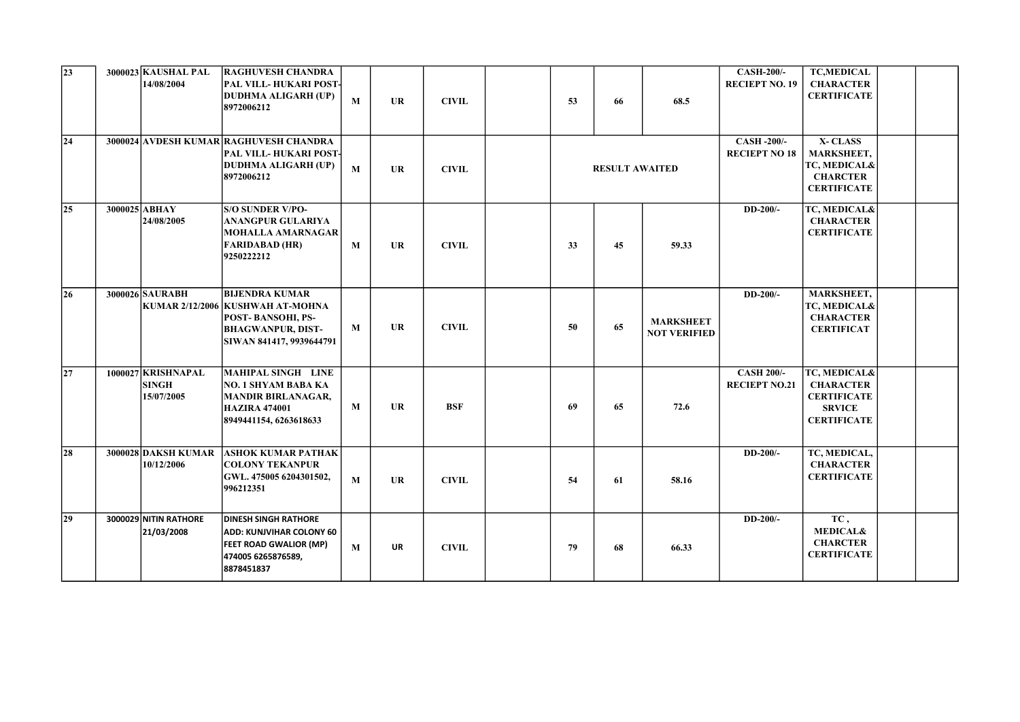| $\sqrt{23}$<br> 24 | <b>3000023 KAUSHAL PAL</b><br>14/08/2004         | <b>RAGHUVESH CHANDRA</b><br>PAL VILL-HUKARI POST-<br><b>DUDHMA ALIGARH (UP)</b><br>8972006212<br>3000024 AVDESH KUMAR RAGHUVESH CHANDRA<br>PAL VILL-HUKARI POST- | M | <b>UR</b> | <b>CIVIL</b> | 53 | 66                    | 68.5                                    | <b>CASH-200/-</b><br><b>RECIEPT NO. 19</b><br><b>CASH -200/-</b><br><b>RECIEPT NO 18</b> | <b>TC,MEDICAL</b><br><b>CHARACTER</b><br><b>CERTIFICATE</b><br>X-CLASS<br><b>MARKSHEET,</b>   |  |
|--------------------|--------------------------------------------------|------------------------------------------------------------------------------------------------------------------------------------------------------------------|---|-----------|--------------|----|-----------------------|-----------------------------------------|------------------------------------------------------------------------------------------|-----------------------------------------------------------------------------------------------|--|
|                    |                                                  | <b>DUDHMA ALIGARH (UP)</b><br>8972006212                                                                                                                         | M | <b>UR</b> | <b>CIVIL</b> |    | <b>RESULT AWAITED</b> |                                         |                                                                                          | TC, MEDICAL&<br><b>CHARCTER</b><br><b>CERTIFICATE</b>                                         |  |
| $ 25\rangle$       | 3000025 ABHAY<br>24/08/2005                      | <b>S/O SUNDER V/PO-</b><br><b>ANANGPUR GULARIYA</b><br><b>MOHALLA AMARNAGAR</b><br><b>FARIDABAD (HR)</b><br>9250222212                                           | M | <b>UR</b> | <b>CIVIL</b> | 33 | 45                    | 59.33                                   | DD-200/-                                                                                 | TC, MEDICAL&<br><b>CHARACTER</b><br><b>CERTIFICATE</b>                                        |  |
| $\overline{26}$    | 3000026 SAURABH                                  | <b>BIJENDRA KUMAR</b><br>KUMAR 2/12/2006 KUSHWAH AT-MOHNA<br>POST-BANSOHI, PS-<br><b>BHAGWANPUR, DIST-</b><br>SIWAN 841417, 9939644791                           | M | <b>UR</b> | <b>CIVIL</b> | 50 | 65                    | <b>MARKSHEET</b><br><b>NOT VERIFIED</b> | DD-200/-                                                                                 | <b>MARKSHEET,</b><br>TC, MEDICAL&<br><b>CHARACTER</b><br><b>CERTIFICAT</b>                    |  |
| 27                 | 1000027 KRISHNAPAL<br><b>SINGH</b><br>15/07/2005 | <b>MAHIPAL SINGH LINE</b><br><b>NO. 1 SHYAM BABA KA</b><br><b>MANDIR BIRLANAGAR,</b><br><b>HAZIRA 474001</b><br>8949441154, 6263618633                           | M | <b>UR</b> | <b>BSF</b>   | 69 | 65                    | 72.6                                    | <b>CASH 200/-</b><br><b>RECIEPT NO.21</b>                                                | TC, MEDICAL&<br><b>CHARACTER</b><br><b>CERTIFICATE</b><br><b>SRVICE</b><br><b>CERTIFICATE</b> |  |
| 28                 | <b>3000028 DAKSH KUMAR</b><br>10/12/2006         | <b>ASHOK KUMAR PATHAK</b><br><b>COLONY TEKANPUR</b><br>GWL. 475005 6204301502,<br>996212351                                                                      | M | <b>UR</b> | <b>CIVIL</b> | 54 | 61                    | 58.16                                   | DD-200/-                                                                                 | TC, MEDICAL,<br><b>CHARACTER</b><br><b>CERTIFICATE</b>                                        |  |
| $ 29\rangle$       | 3000029 NITIN RATHORE<br>21/03/2008              | <b>DINESH SINGH RATHORE</b><br><b>ADD: KUNJVIHAR COLONY 60</b><br>FEET ROAD GWALIOR (MP)<br>474005 6265876589,<br>8878451837                                     | M | <b>UR</b> | <b>CIVIL</b> | 79 | 68                    | 66.33                                   | DD-200/-                                                                                 | TC,<br><b>MEDICAL&amp;</b><br><b>CHARCTER</b><br><b>CERTIFICATE</b>                           |  |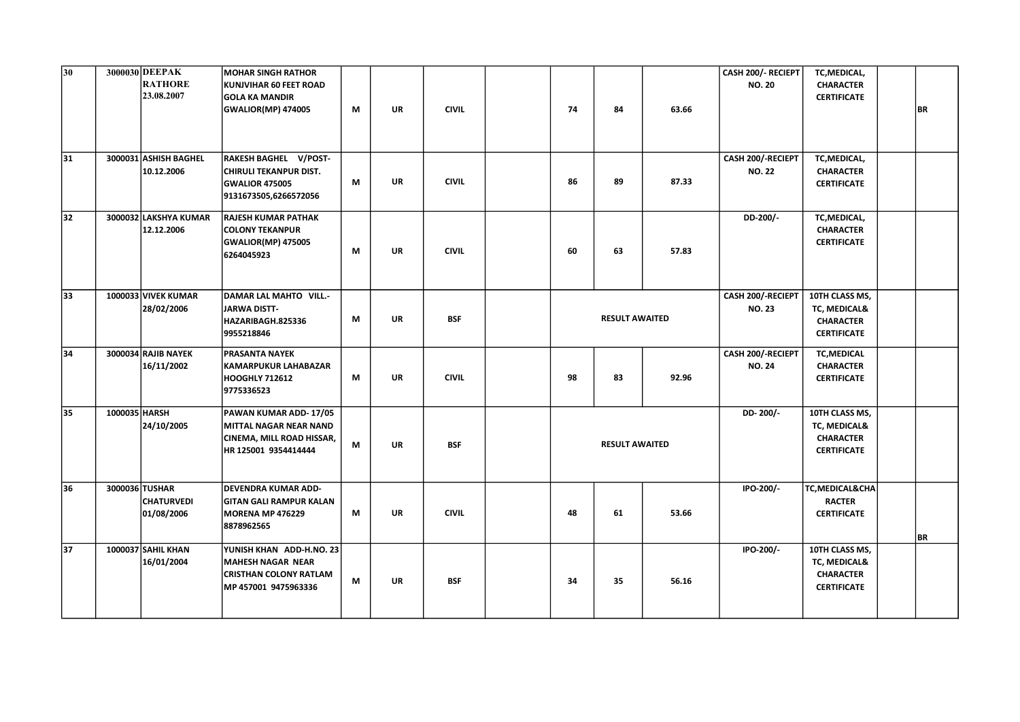| 30 | 3000030 DEEPAK | <b>RATHORE</b><br>23.08.2007        | <b>MOHAR SINGH RATHOR</b><br>KUNJVIHAR 60 FEET ROAD<br><b>GOLA KA MANDIR</b><br><b>GWALIOR(MP) 474005</b>     | M | <b>UR</b> | <b>CIVIL</b> | 74                    | 84                    | 63.66 | CASH 200/- RECIEPT<br><b>NO. 20</b> | TC, MEDICAL,<br><b>CHARACTER</b><br><b>CERTIFICATE</b>                   | <b>BR</b> |
|----|----------------|-------------------------------------|---------------------------------------------------------------------------------------------------------------|---|-----------|--------------|-----------------------|-----------------------|-------|-------------------------------------|--------------------------------------------------------------------------|-----------|
| 31 |                | 3000031 ASHISH BAGHEL<br>10.12.2006 | RAKESH BAGHEL V/POST-<br><b>CHIRULI TEKANPUR DIST.</b><br><b>GWALIOR 475005</b><br>9131673505,6266572056      | M | <b>UR</b> | <b>CIVIL</b> | 86                    | 89                    | 87.33 | CASH 200/-RECIEPT<br><b>NO. 22</b>  | TC, MEDICAL,<br><b>CHARACTER</b><br><b>CERTIFICATE</b>                   |           |
| 32 |                | 3000032 LAKSHYA KUMAR<br>12.12.2006 | <b>RAJESH KUMAR PATHAK</b><br><b>COLONY TEKANPUR</b><br><b>GWALIOR(MP) 475005</b><br>6264045923               | M | <b>UR</b> | <b>CIVIL</b> | 60                    | 63                    | 57.83 | DD-200/-                            | TC, MEDICAL,<br><b>CHARACTER</b><br><b>CERTIFICATE</b>                   |           |
| 33 |                | 1000033 VIVEK KUMAR<br>28/02/2006   | DAMAR LAL MAHTO VILL.-<br>JARWA DISTT-<br>HAZARIBAGH.825336<br>9955218846                                     | М | <b>UR</b> | <b>BSF</b>   |                       | <b>RESULT AWAITED</b> |       | CASH 200/-RECIEPT<br><b>NO. 23</b>  | 10TH CLASS MS,<br>TC, MEDICAL&<br><b>CHARACTER</b><br><b>CERTIFICATE</b> |           |
| 34 |                | 3000034 RAJIB NAYEK<br>16/11/2002   | PRASANTA NAYEK<br>KAMARPUKUR LAHABAZAR<br><b>HOOGHLY 712612</b><br>9775336523                                 | M | <b>UR</b> | <b>CIVIL</b> | 98                    | 83                    | 92.96 | CASH 200/-RECIEPT<br><b>NO. 24</b>  | <b>TC,MEDICAL</b><br><b>CHARACTER</b><br><b>CERTIFICATE</b>              |           |
| 35 | 1000035 HARSH  | 24/10/2005                          | PAWAN KUMAR ADD-17/05<br><b>MITTAL NAGAR NEAR NAND</b><br>CINEMA, MILL ROAD HISSAR,<br>HR 125001 9354414444   | М | <b>UR</b> | <b>BSF</b>   | <b>RESULT AWAITED</b> |                       |       | DD-200/-                            | 10TH CLASS MS,<br>TC, MEDICAL&<br><b>CHARACTER</b><br><b>CERTIFICATE</b> |           |
| 36 | 3000036 TUSHAR | <b>CHATURVEDI</b><br>01/08/2006     | DEVENDRA KUMAR ADD-<br><b>GITAN GALI RAMPUR KALAN</b><br><b>MORENA MP 476229</b><br>8878962565                | М | <b>UR</b> | <b>CIVIL</b> | 48                    | 61                    | 53.66 | IPO-200/-                           | TC, MEDICAL&CHA<br><b>RACTER</b><br><b>CERTIFICATE</b>                   | BR        |
| 37 |                | 1000037 SAHIL KHAN<br>16/01/2004    | YUNISH KHAN ADD-H.NO. 23<br><b>MAHESH NAGAR NEAR</b><br><b>CRISTHAN COLONY RATLAM</b><br>MP 457001 9475963336 | M | <b>UR</b> | <b>BSF</b>   | 34                    | 35                    | 56.16 | IPO-200/-                           | 10TH CLASS MS,<br>TC, MEDICAL&<br><b>CHARACTER</b><br><b>CERTIFICATE</b> |           |